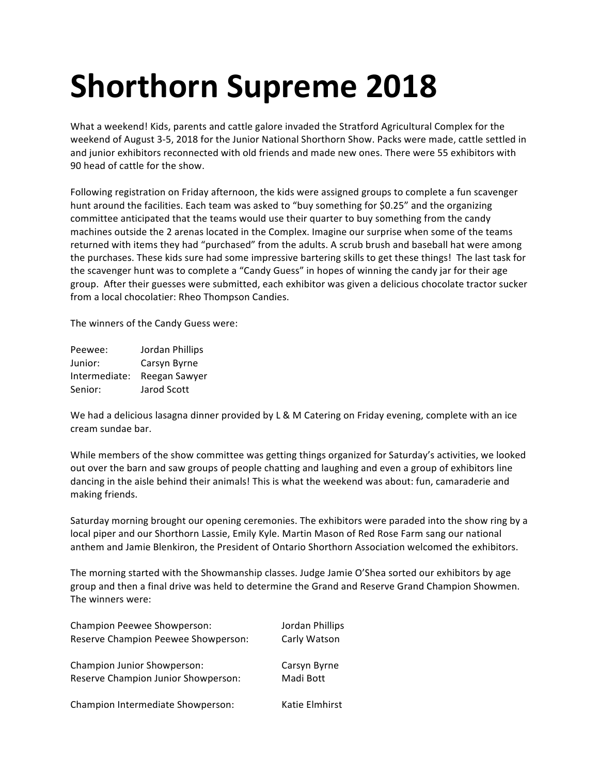# **Shorthorn Supreme 2018**

What a weekend! Kids, parents and cattle galore invaded the Stratford Agricultural Complex for the weekend of August 3-5, 2018 for the Junior National Shorthorn Show. Packs were made, cattle settled in and junior exhibitors reconnected with old friends and made new ones. There were 55 exhibitors with 90 head of cattle for the show.

Following registration on Friday afternoon, the kids were assigned groups to complete a fun scavenger hunt around the facilities. Each team was asked to "buy something for \$0.25" and the organizing committee anticipated that the teams would use their quarter to buy something from the candy machines outside the 2 arenas located in the Complex. Imagine our surprise when some of the teams returned with items they had "purchased" from the adults. A scrub brush and baseball hat were among the purchases. These kids sure had some impressive bartering skills to get these things! The last task for the scavenger hunt was to complete a "Candy Guess" in hopes of winning the candy jar for their age group. After their guesses were submitted, each exhibitor was given a delicious chocolate tractor sucker from a local chocolatier: Rheo Thompson Candies.

The winners of the Candy Guess were:

| Peewee:       | Jordan Phillips |
|---------------|-----------------|
| Junior:       | Carsyn Byrne    |
| Intermediate: | Reegan Sawyer   |
| Senior:       | Jarod Scott     |

We had a delicious lasagna dinner provided by L & M Catering on Friday evening, complete with an ice cream sundae bar.

While members of the show committee was getting things organized for Saturday's activities, we looked out over the barn and saw groups of people chatting and laughing and even a group of exhibitors line dancing in the aisle behind their animals! This is what the weekend was about: fun, camaraderie and making friends.

Saturday morning brought our opening ceremonies. The exhibitors were paraded into the show ring by a local piper and our Shorthorn Lassie, Emily Kyle. Martin Mason of Red Rose Farm sang our national anthem and Jamie Blenkiron, the President of Ontario Shorthorn Association welcomed the exhibitors.

The morning started with the Showmanship classes. Judge Jamie O'Shea sorted our exhibitors by age group and then a final drive was held to determine the Grand and Reserve Grand Champion Showmen. The winners were:

| Champion Peewee Showperson:         | Jordan Phillips |
|-------------------------------------|-----------------|
| Reserve Champion Peewee Showperson: | Carly Watson    |
| Champion Junior Showperson:         | Carsyn Byrne    |
| Reserve Champion Junior Showperson: | Madi Bott       |
| Champion Intermediate Showperson:   | Katie Elmhirst  |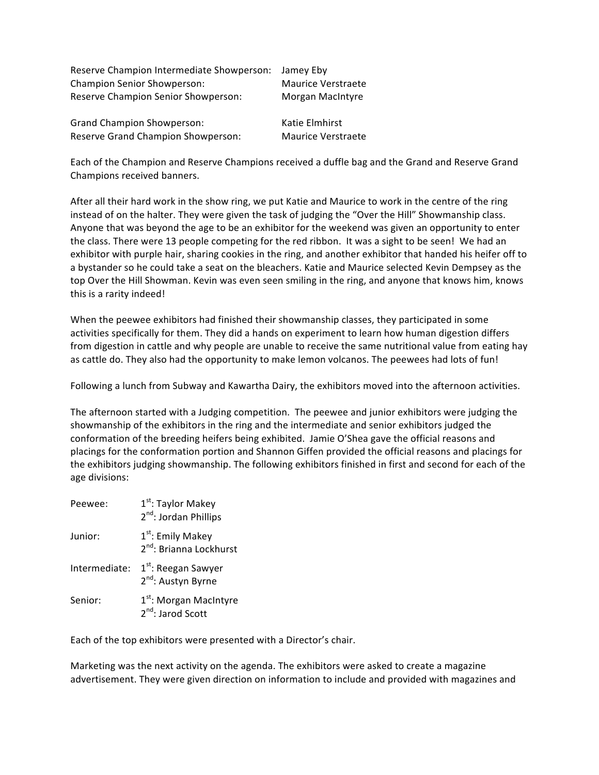| Reserve Champion Intermediate Showperson: Jamey Eby |                    |
|-----------------------------------------------------|--------------------|
| <b>Champion Senior Showperson:</b>                  | Maurice Verstraete |
| Reserve Champion Senior Showperson:                 | Morgan MacIntyre   |
| <b>Grand Champion Showperson:</b>                   | Katie Elmhirst     |
| Reserve Grand Champion Showperson:                  | Maurice Verstraete |

Each of the Champion and Reserve Champions received a duffle bag and the Grand and Reserve Grand Champions received banners.

After all their hard work in the show ring, we put Katie and Maurice to work in the centre of the ring instead of on the halter. They were given the task of judging the "Over the Hill" Showmanship class. Anyone that was beyond the age to be an exhibitor for the weekend was given an opportunity to enter the class. There were 13 people competing for the red ribbon. It was a sight to be seen! We had an exhibitor with purple hair, sharing cookies in the ring, and another exhibitor that handed his heifer off to a bystander so he could take a seat on the bleachers. Katie and Maurice selected Kevin Dempsey as the top Over the Hill Showman. Kevin was even seen smiling in the ring, and anyone that knows him, knows this is a rarity indeed!

When the peewee exhibitors had finished their showmanship classes, they participated in some activities specifically for them. They did a hands on experiment to learn how human digestion differs from digestion in cattle and why people are unable to receive the same nutritional value from eating hay as cattle do. They also had the opportunity to make lemon volcanos. The peewees had lots of fun!

Following a lunch from Subway and Kawartha Dairy, the exhibitors moved into the afternoon activities.

The afternoon started with a Judging competition. The peewee and junior exhibitors were judging the showmanship of the exhibitors in the ring and the intermediate and senior exhibitors judged the conformation of the breeding heifers being exhibited. Jamie O'Shea gave the official reasons and placings for the conformation portion and Shannon Giffen provided the official reasons and placings for the exhibitors judging showmanship. The following exhibitors finished in first and second for each of the age divisions:

| Peewee:       | 1 <sup>st</sup> : Taylor Makey<br>2 <sup>nd</sup> : Jordan Phillips  |
|---------------|----------------------------------------------------------------------|
| Junior:       | 1 <sup>st</sup> : Emily Makey<br>2 <sup>nd</sup> : Brianna Lockhurst |
| Intermediate: | 1 <sup>st</sup> : Reegan Sawyer<br>2 <sup>nd</sup> : Austyn Byrne    |
| Senior:       | 1 <sup>st</sup> : Morgan MacIntyre<br>2 <sup>nd</sup> : Jarod Scott  |

Each of the top exhibitors were presented with a Director's chair.

Marketing was the next activity on the agenda. The exhibitors were asked to create a magazine advertisement. They were given direction on information to include and provided with magazines and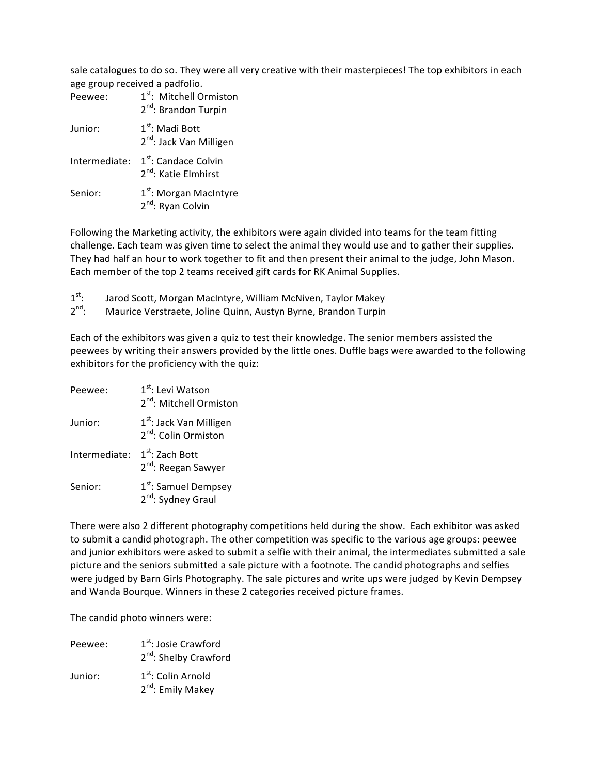sale catalogues to do so. They were all very creative with their masterpieces! The top exhibitors in each age group received a padfolio.

| Peewee:       | 1 <sup>st</sup> : Mitchell Ormiston<br>2 <sup>nd</sup> : Brandon Turpin |
|---------------|-------------------------------------------------------------------------|
| Junior:       | $1st$ : Madi Bott<br>2 <sup>nd</sup> : Jack Van Milligen                |
| Intermediate: | 1 <sup>st</sup> : Candace Colvin<br>2 <sup>nd</sup> : Katie Elmhirst    |
| Senior:       | 1 <sup>st</sup> : Morgan MacIntyre<br>2 <sup>nd</sup> : Ryan Colvin     |

Following the Marketing activity, the exhibitors were again divided into teams for the team fitting challenge. Each team was given time to select the animal they would use and to gather their supplies. They had half an hour to work together to fit and then present their animal to the judge, John Mason. Each member of the top 2 teams received gift cards for RK Animal Supplies.

 $1<sup>st</sup>$ : Jarod Scott, Morgan MacIntyre, William McNiven, Taylor Makey

 $2^{nd}$ : Maurice Verstraete, Joline Quinn, Austyn Byrne, Brandon Turpin

Each of the exhibitors was given a quiz to test their knowledge. The senior members assisted the peewees by writing their answers provided by the little ones. Duffle bags were awarded to the following exhibitors for the proficiency with the quiz:

| Peewee:       | 1 <sup>st</sup> : Levi Watson<br>2 <sup>nd</sup> : Mitchell Ormiston    |
|---------------|-------------------------------------------------------------------------|
| Junior:       | 1 <sup>st</sup> : Jack Van Milligen<br>2 <sup>nd</sup> : Colin Ormiston |
| Intermediate: | $1st$ : Zach Bott<br>2 <sup>nd</sup> : Reegan Sawyer                    |
| Senior:       | 1 <sup>st</sup> : Samuel Dempsey<br>2 <sup>nd</sup> : Sydney Graul      |

There were also 2 different photography competitions held during the show. Each exhibitor was asked to submit a candid photograph. The other competition was specific to the various age groups: peewee and junior exhibitors were asked to submit a selfie with their animal, the intermediates submitted a sale picture and the seniors submitted a sale picture with a footnote. The candid photographs and selfies were judged by Barn Girls Photography. The sale pictures and write ups were judged by Kevin Dempsey and Wanda Bourque. Winners in these 2 categories received picture frames.

The candid photo winners were:

| Peewee: | 1 <sup>st</sup> : Josie Crawford<br>2 <sup>nd</sup> : Shelby Crawford |
|---------|-----------------------------------------------------------------------|
| Junior: | $1st$ : Colin Arnold<br>2 <sup>nd</sup> : Emily Makey                 |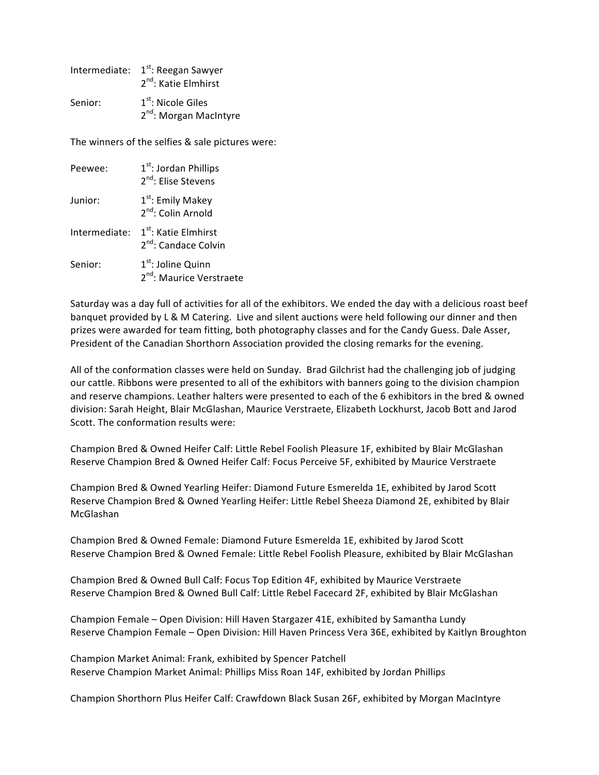|         | Intermediate: 1 <sup>st</sup> : Reegan Sawyer<br>$2^{nd}$ : Katie Elmhirst |
|---------|----------------------------------------------------------------------------|
| Senior: | $1st$ : Nicole Giles<br>2 <sup>nd</sup> : Morgan MacIntyre                 |

The winners of the selfies & sale pictures were:

| Peewee:       | $1st$ : Jordan Phillips<br>2 <sup>nd</sup> : Elise Stevens           |
|---------------|----------------------------------------------------------------------|
| Junior:       | 1 <sup>st</sup> : Emily Makey<br>$2nd$ : Colin Arnold                |
| Intermediate: | 1 <sup>st</sup> : Katie Elmhirst<br>2 <sup>nd</sup> : Candace Colvin |
| Senior:       | $1st$ : Joline Quinn<br>2 <sup>nd</sup> : Maurice Verstraete         |

Saturday was a day full of activities for all of the exhibitors. We ended the day with a delicious roast beef banquet provided by L & M Catering. Live and silent auctions were held following our dinner and then prizes were awarded for team fitting, both photography classes and for the Candy Guess. Dale Asser, President of the Canadian Shorthorn Association provided the closing remarks for the evening.

All of the conformation classes were held on Sunday. Brad Gilchrist had the challenging job of judging our cattle. Ribbons were presented to all of the exhibitors with banners going to the division champion and reserve champions. Leather halters were presented to each of the 6 exhibitors in the bred & owned division: Sarah Height, Blair McGlashan, Maurice Verstraete, Elizabeth Lockhurst, Jacob Bott and Jarod Scott. The conformation results were:

Champion Bred & Owned Heifer Calf: Little Rebel Foolish Pleasure 1F, exhibited by Blair McGlashan Reserve Champion Bred & Owned Heifer Calf: Focus Perceive 5F, exhibited by Maurice Verstraete

Champion Bred & Owned Yearling Heifer: Diamond Future Esmerelda 1E, exhibited by Jarod Scott Reserve Champion Bred & Owned Yearling Heifer: Little Rebel Sheeza Diamond 2E, exhibited by Blair McGlashan

Champion Bred & Owned Female: Diamond Future Esmerelda 1E, exhibited by Jarod Scott Reserve Champion Bred & Owned Female: Little Rebel Foolish Pleasure, exhibited by Blair McGlashan

Champion Bred & Owned Bull Calf: Focus Top Edition 4F, exhibited by Maurice Verstraete Reserve Champion Bred & Owned Bull Calf: Little Rebel Facecard 2F, exhibited by Blair McGlashan

Champion Female – Open Division: Hill Haven Stargazer 41E, exhibited by Samantha Lundy Reserve Champion Female - Open Division: Hill Haven Princess Vera 36E, exhibited by Kaitlyn Broughton

Champion Market Animal: Frank, exhibited by Spencer Patchell Reserve Champion Market Animal: Phillips Miss Roan 14F, exhibited by Jordan Phillips

Champion Shorthorn Plus Heifer Calf: Crawfdown Black Susan 26F, exhibited by Morgan MacIntyre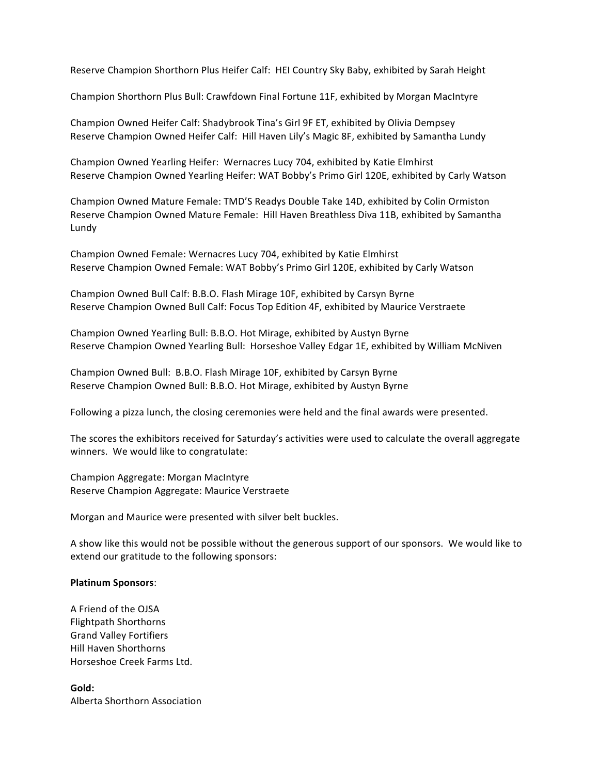Reserve Champion Shorthorn Plus Heifer Calf: HEI Country Sky Baby, exhibited by Sarah Height

Champion Shorthorn Plus Bull: Crawfdown Final Fortune 11F, exhibited by Morgan MacIntyre

Champion Owned Heifer Calf: Shadybrook Tina's Girl 9F ET, exhibited by Olivia Dempsey Reserve Champion Owned Heifer Calf: Hill Haven Lily's Magic 8F, exhibited by Samantha Lundy

Champion Owned Yearling Heifer: Wernacres Lucy 704, exhibited by Katie Elmhirst Reserve Champion Owned Yearling Heifer: WAT Bobby's Primo Girl 120E, exhibited by Carly Watson

Champion Owned Mature Female: TMD'S Readys Double Take 14D, exhibited by Colin Ormiston Reserve Champion Owned Mature Female: Hill Haven Breathless Diva 11B, exhibited by Samantha Lundy

Champion Owned Female: Wernacres Lucy 704, exhibited by Katie Elmhirst Reserve Champion Owned Female: WAT Bobby's Primo Girl 120E, exhibited by Carly Watson

Champion Owned Bull Calf: B.B.O. Flash Mirage 10F, exhibited by Carsyn Byrne Reserve Champion Owned Bull Calf: Focus Top Edition 4F, exhibited by Maurice Verstraete

Champion Owned Yearling Bull: B.B.O. Hot Mirage, exhibited by Austyn Byrne Reserve Champion Owned Yearling Bull: Horseshoe Valley Edgar 1E, exhibited by William McNiven

Champion Owned Bull: B.B.O. Flash Mirage 10F, exhibited by Carsyn Byrne Reserve Champion Owned Bull: B.B.O. Hot Mirage, exhibited by Austyn Byrne

Following a pizza lunch, the closing ceremonies were held and the final awards were presented.

The scores the exhibitors received for Saturday's activities were used to calculate the overall aggregate winners. We would like to congratulate:

Champion Aggregate: Morgan MacIntyre Reserve Champion Aggregate: Maurice Verstraete

Morgan and Maurice were presented with silver belt buckles.

A show like this would not be possible without the generous support of our sponsors. We would like to extend our gratitude to the following sponsors:

### **Platinum Sponsors**:

A Friend of the OJSA Flightpath Shorthorns Grand Valley Fortifiers Hill Haven Shorthorns Horseshoe Creek Farms Ltd.

**Gold:** Alberta Shorthorn Association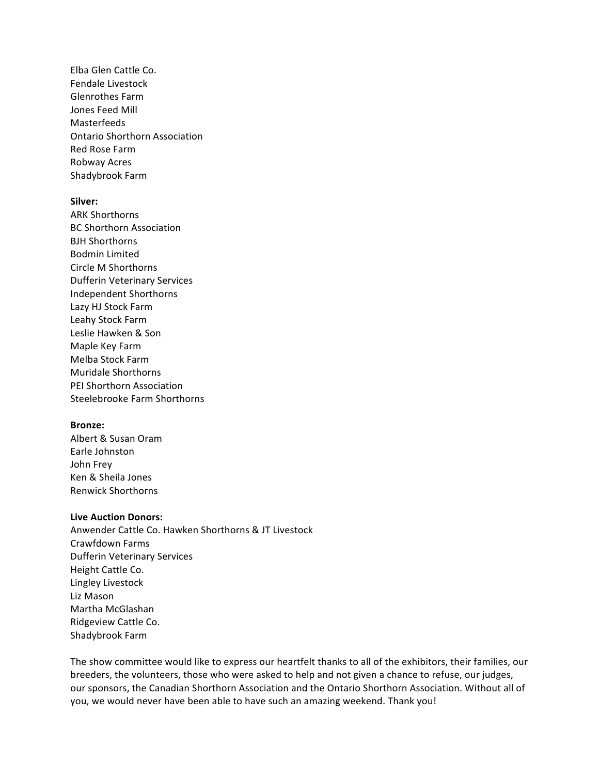Elba Glen Cattle Co. Fendale Livestock Glenrothes Farm Jones Feed Mill Masterfeeds Ontario Shorthorn Association Red Rose Farm Robway Acres Shadybrook Farm

## **Silver:**

ARK Shorthorns BC Shorthorn Association BJH Shorthorns Bodmin Limited Circle M Shorthorns Dufferin Veterinary Services Independent Shorthorns Lazy HJ Stock Farm Leahy Stock Farm Leslie Hawken & Son Maple Key Farm Melba Stock Farm Muridale Shorthorns PEI Shorthorn Association Steelebrooke Farm Shorthorns

## **Bronze:**

Albert & Susan Oram Earle Johnston John Frey Ken & Sheila Jones Renwick Shorthorns

## **Live Auction Donors:**

Anwender Cattle Co. Hawken Shorthorns & JT Livestock Crawfdown Farms Dufferin Veterinary Services Height Cattle Co. Lingley Livestock Liz Mason Martha McGlashan Ridgeview Cattle Co. Shadybrook Farm 

The show committee would like to express our heartfelt thanks to all of the exhibitors, their families, our breeders, the volunteers, those who were asked to help and not given a chance to refuse, our judges, our sponsors, the Canadian Shorthorn Association and the Ontario Shorthorn Association. Without all of you, we would never have been able to have such an amazing weekend. Thank you!